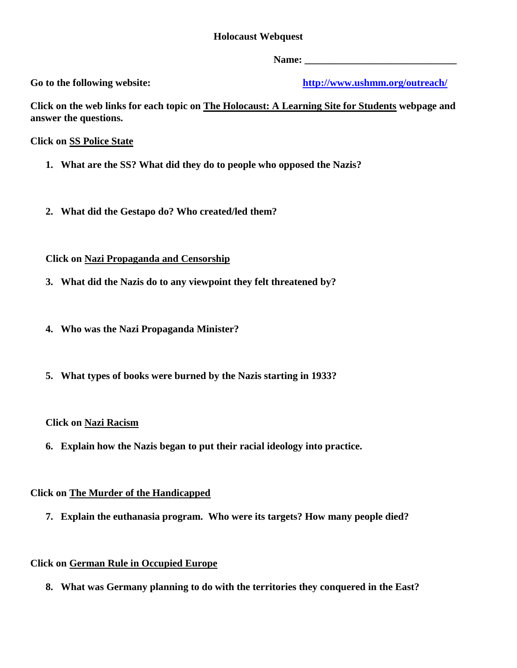# **Holocaust Webquest**

Go to the following website:

**Name: \_\_\_\_\_\_\_\_\_\_\_\_\_\_\_\_\_\_\_\_\_\_\_\_\_\_\_\_\_\_ Go to the following website: <http://www.ushmm.org/outreach/>**

**Click on the web links for each topic on The Holocaust: A Learning Site for Students webpage and answer the questions.** 

**Click on SS Police State** 

- **1. What are the SS? What did they do to people who opposed the Nazis?**
- **2. What did the Gestapo do? Who created/led them?**

## **Click on Nazi Propaganda and Censorship**

- **Clarge 3. What did the Nazis do to any viewpoint they felt threatened by?**
- **4. Who was the Nazi Propaganda Minister?**
- **5. What types of books were burned by the Nazis starting in 1933?**

## **Click on Nazi Racism**

**6. Explain how the Nazis began to put their racial ideology into practice.** 

# **Click on The Murder of the Handicapped**

 **Click on The Murder of the Handicapped 7. Explain the euthanasia program. Who were its targets? How many people died?** 

# **Click on German Rule in Occupied Europe**

**8.** What was Germany planning to do with the territories they conquered in the East?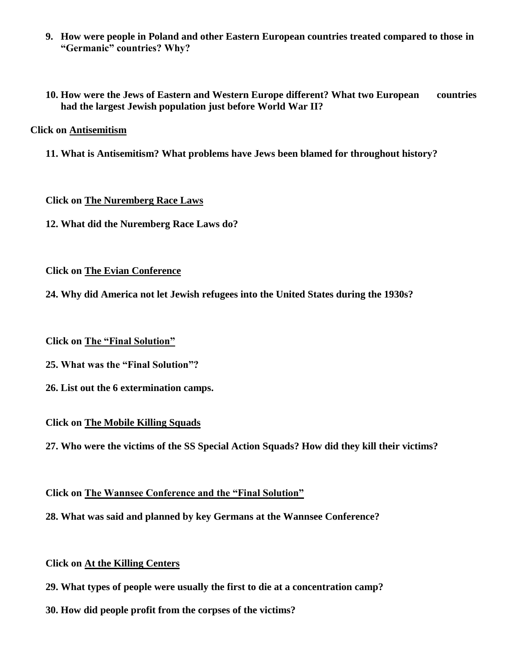- **9. How were people in Poland and other Eastern European countries treated compared to those in "Germanic" countries? Why?**
- **10. How were the Jews of Eastern and Western Europe different? What two European countries had the largest Jewish population just before World War II?**

## **Click on Antisemitism**

**11. What is Antisemitism? What problems have Jews been blamed for throughout history?** 

#### **Click on The Nuremberg Race Laws**

 **12. What did the Nuremberg Race Laws do?** 

## **Click on The Evian Conference**

**24. Why did America not let Jewish refugees into the United States during the 1930s?** 

## **Click on The "Final Solution"**

- **25. What was the "Final Solution"?**
- **26. List out the 6 extermination camps.**

#### **Click on The Mobile Killing Squads**

 **27. Who were the victims of the SS Special Action Squads? How did they kill their victims?** 

## **Click on The Wannsee Conference and the "Final Solution"**

 **28. What was said and planned by key Germans at the Wannsee Conference?** 

## **Click on At the Killing Centers**

- **29. What types of people were usually the first to die at a concentration camp?**
- **30. How did people profit from the corpses of the victims?**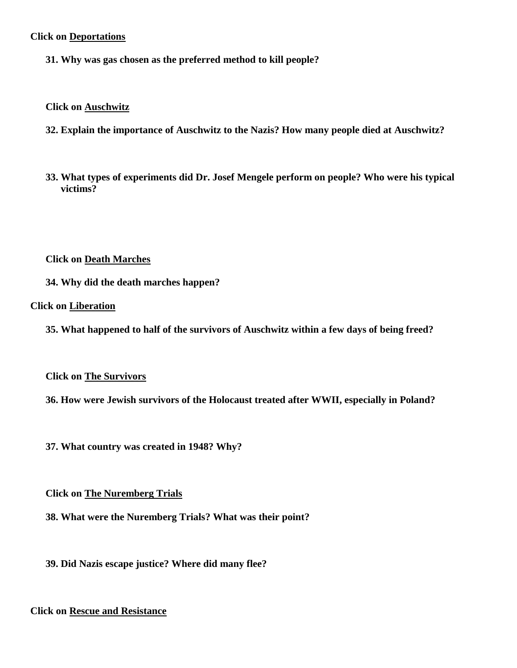# **Click on Deportations**

**31. Why was gas chosen as the preferred method to kill people?** 

 **Click on Auschwitz** 

- **32. Explain the importance of Auschwitz to the Nazis? How many people died at Auschwitz?**
- **33. What types of experiments did Dr. Josef Mengele perform on people? Who were his typical victims?**

**Click on Death Marches** 

**34. Why did the death marches happen?** 

 **Click on Liberation** 

**35. What happened to half of the survivors of Auschwitz within a few days of being freed?** 

**Click on The Survivors** 

**Click on The Survivors 36. How were Jewish survivors of the Holocaust treated after WWII, especially in Poland?** 

**37. What country was created in 1948? Why?** 

**Click on The Nuremberg Trials** 

**Click on The Nuremberg Trials 38. What were the Nuremberg Trials? What was their point?** 

**39. Did Nazis escape justice? Where did many flee?** 

 **Click on Rescue and Resistance**